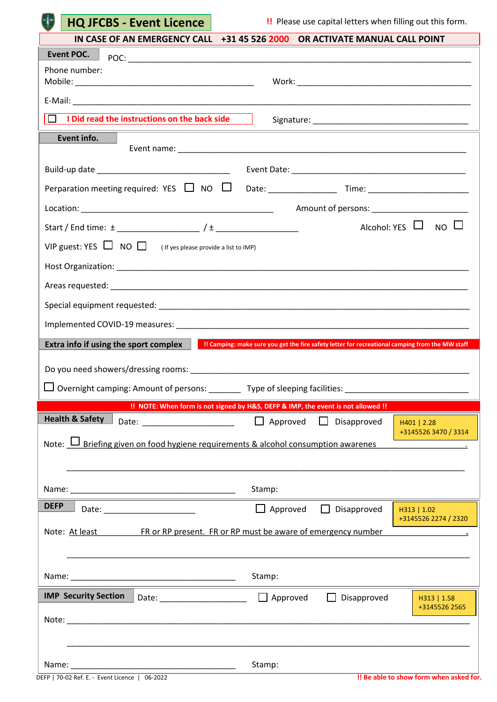| <b>HQ JFCBS - Event Licence</b> |
|---------------------------------|
|---------------------------------|

 $\Box$ 

**!!** Please use capital letters when filling out this form.

| Phone number:                                                                                                                                                       |  |
|---------------------------------------------------------------------------------------------------------------------------------------------------------------------|--|
|                                                                                                                                                                     |  |
| $\Box$ I Did read the instructions on the back side $\Box$                                                                                                          |  |
| Event info.                                                                                                                                                         |  |
|                                                                                                                                                                     |  |
|                                                                                                                                                                     |  |
|                                                                                                                                                                     |  |
|                                                                                                                                                                     |  |
| Alcohol: YES $\Box$ NO $\Box$                                                                                                                                       |  |
| VIP guest: YES $\Box$ NO $\Box$ (If yes please provide a list to IMP)                                                                                               |  |
|                                                                                                                                                                     |  |
|                                                                                                                                                                     |  |
|                                                                                                                                                                     |  |
|                                                                                                                                                                     |  |
| Extra info if using the sport complex<br>!! Camping: make sure you get the fire safety letter for recreational camping from the MW staff                            |  |
|                                                                                                                                                                     |  |
|                                                                                                                                                                     |  |
|                                                                                                                                                                     |  |
| □ Overnight camping: Amount of persons: ________ Type of sleeping facilities: ___________________________                                                           |  |
| !! NOTE: When form is not signed by H&S, DEFP & IMP, the event is not allowed !!<br><b>Health &amp; Safety</b><br>$\Box$ Approved $\Box$ Disapproved<br>H401   2.28 |  |
| +3145526 3470 / 3314                                                                                                                                                |  |
| Note: U Briefing given on food hygiene requirements & alcohol consumption awarenes                                                                                  |  |
|                                                                                                                                                                     |  |
| Stamp:                                                                                                                                                              |  |
| <b>DEFP</b><br>Approved Disapproved<br>H313   1.02<br>+3145526 2274 / 2320                                                                                          |  |
| Note: At least FR or RP present. FR or RP must be aware of emergency number                                                                                         |  |
|                                                                                                                                                                     |  |
| Stamp:                                                                                                                                                              |  |
| <b>IMP Security Section</b><br>Disapproved<br>H313   1.58                                                                                                           |  |
| +3145526 2565                                                                                                                                                       |  |
|                                                                                                                                                                     |  |
|                                                                                                                                                                     |  |